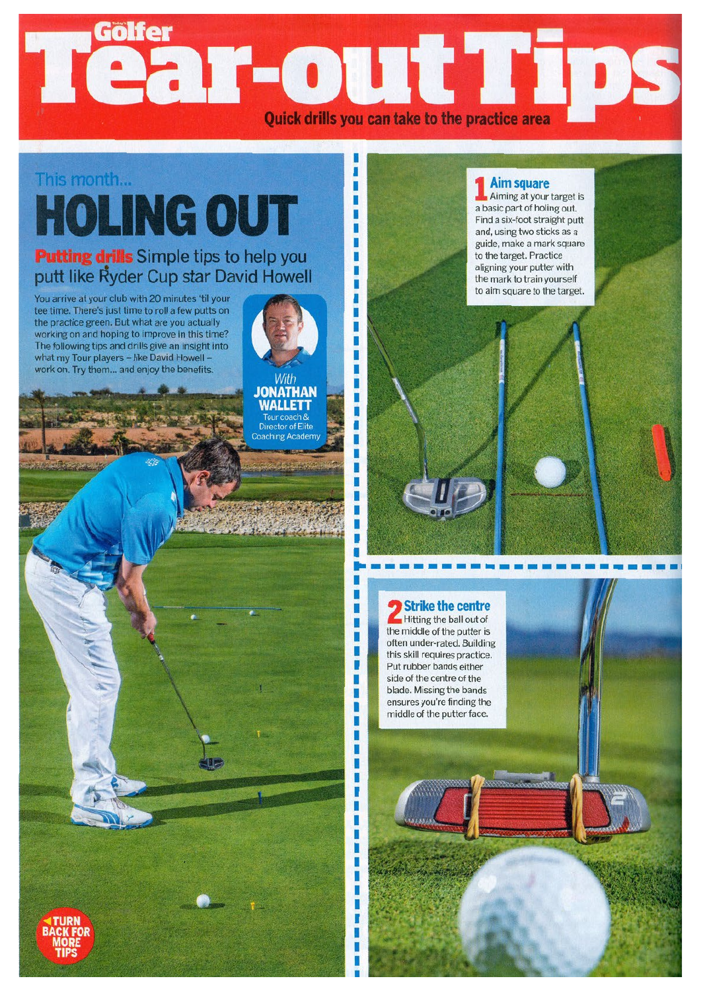## Tear-out Ti Quick drills you can take to the practice area

п ī

ï ٠ ٠ п ī п

ı

ï

ï

ï ï п ı

ī ī п

П ı ī ī ī ï

ï Г

> ı ī ï ï ī ï

## **This month... HOLING OUT**

## **Putting drills Simple tips to help you putt like** ~yder **Cup star David Howell**

You arrive at your club with <sup>20</sup> minutes 'til your tee time. There's just time to roll <sup>a</sup> few putts on the practice green. But what are you actually working on and hoping to improve in this time? The following tips and drills give an insight into what my Tour players - like David Howell work on. Try them ... and enjoy the benefits.

**JONATHAN WALLETT** Tour coach &<br>Director of Elite aching Academ



Aiming at your target is <sup>a</sup> basic part of holing out. Find <sup>a</sup> six-foot straight putt and, using two sticks as <sup>a</sup> guide, make <sup>a</sup> mark square to the target. Practice aligning your putter with the mark to train yourself to aim square to the target.



the middle of the putter is often under-rated. Building this skill requires practice. Put rubber bands either side of the centre of the blade. Missing the bands ensures you're finding the middle of the putter face.